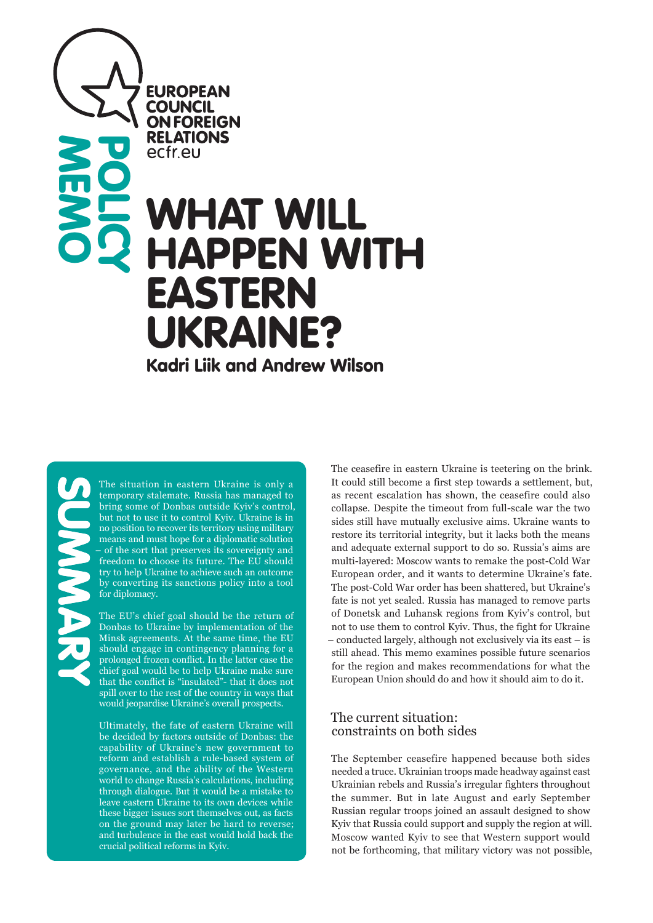**EUROPEAN COUNCIL ON FOREIGN RELATIONS** ecfreu

# WHAT WILL HAPPEN WITH EASTERN UKRAINE?<br>Kadri Liik and Andrew Wilson **POLICY**

**MEMO** 

The situation in eastern Ukraine is only a temporary stalemate. Russia has managed to bring some of Donbas outside Kyiv's control, but not to use it to control Kyiv. Ukraine is in no position to recover its territory using military means and must hope for a diplomatic solution – of the sort that preserves its sovereignty and freedom to choose its future. The EU should try to help Ukraine to achieve such an outcome by converting its sanctions policy into a tool for diplomacy.

The EU's chief goal should be the return of Donbas to Ukraine by implementation of the Minsk agreements. At the same time, the EU should engage in contingency planning for a prolonged frozen conflict. In the latter case the chief goal would be to help Ukraine make sure that the conflict is "insulated"- that it does not spill over to the rest of the country in ways that would jeopardise Ukraine's overall prospects.

Ultimately, the fate of eastern Ukraine will be decided by factors outside of Donbas: the capability of Ukraine's new government to reform and establish a rule-based system of governance, and the ability of the Western world to change Russia's calculations, including through dialogue. But it would be a mistake to leave eastern Ukraine to its own devices while these bigger issues sort themselves out, as facts on the ground may later be hard to reverse; and turbulence in the east would hold back the crucial political reforms in Kyiv.

The ceasefire in eastern Ukraine is teetering on the brink. It could still become a first step towards a settlement, but, as recent escalation has shown, the ceasefire could also collapse. Despite the timeout from full-scale war the two sides still have mutually exclusive aims. Ukraine wants to restore its territorial integrity, but it lacks both the means and adequate external support to do so. Russia's aims are multi-layered: Moscow wants to remake the post-Cold War European order, and it wants to determine Ukraine's fate. The post-Cold War order has been shattered, but Ukraine's fate is not yet sealed. Russia has managed to remove parts of Donetsk and Luhansk regions from Kyiv's control, but not to use them to control Kyiv. Thus, the fight for Ukraine – conducted largely, although not exclusively via its east – is still ahead. This memo examines possible future scenarios for the region and makes recommendations for what the European Union should do and how it should aim to do it.

## The current situation: constraints on both sides

The September ceasefire happened because both sides needed a truce. Ukrainian troops made headway against east Ukrainian rebels and Russia's irregular fighters throughout the summer. But in late August and early September Russian regular troops joined an assault designed to show Kyiv that Russia could support and supply the region at will. Moscow wanted Kyiv to see that Western support would not be forthcoming, that military victory was not possible,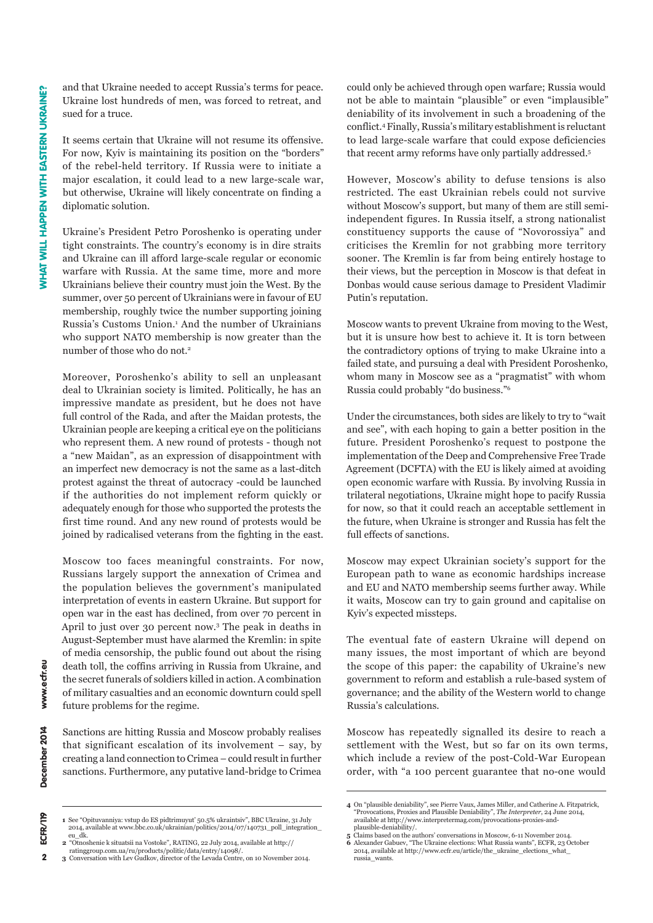www.ecfr.eu

December 2014

ECFR/119

 $\overline{2}$ 

and that Ukraine needed to accept Russia's terms for peace. Ukraine lost hundreds of men, was forced to retreat, and sued for a truce.

It seems certain that Ukraine will not resume its offensive. For now, Kyiv is maintaining its position on the "borders" of the rebel-held territory. If Russia were to initiate a major escalation, it could lead to a new large-scale war, but otherwise, Ukraine will likely concentrate on finding a diplomatic solution.

Ukraine's President Petro Poroshenko is operating under tight constraints. The country's economy is in dire straits and Ukraine can ill afford large-scale regular or economic warfare with Russia. At the same time, more and more Ukrainians believe their country must join the West. By the summer, over 50 percent of Ukrainians were in favour of EU membership, roughly twice the number supporting joining Russia's Customs Union.<sup>1</sup> And the number of Ukrainians who support NATO membership is now greater than the number of those who do not.<sup>2</sup>

Moreover, Poroshenko's ability to sell an unpleasant deal to Ukrainian society is limited. Politically, he has an impressive mandate as president, but he does not have full control of the Rada, and after the Maidan protests, the Ukrainian people are keeping a critical eye on the politicians who represent them. A new round of protests - though not a "new Maidan", as an expression of disappointment with an imperfect new democracy is not the same as a last-ditch protest against the threat of autocracy -could be launched if the authorities do not implement reform quickly or adequately enough for those who supported the protests the first time round. And any new round of protests would be joined by radicalised veterans from the fighting in the east.

Moscow too faces meaningful constraints. For now, Russians largely support the annexation of Crimea and the population believes the government's manipulated interpretation of events in eastern Ukraine. But support for open war in the east has declined, from over 70 percent in April to just over 30 percent now.3 The peak in deaths in August-September must have alarmed the Kremlin: in spite of media censorship, the public found out about the rising death toll, the coffins arriving in Russia from Ukraine, and the secret funerals of soldiers killed in action. A combination of military casualties and an economic downturn could spell future problems for the regime.

Sanctions are hitting Russia and Moscow probably realises that significant escalation of its involvement – say, by creating a land connection to Crimea – could result in further sanctions. Furthermore, any putative land-bridge to Crimea

**2** "Otnoshenie k situatsii na Vostoke", RATING, 22 July 2014, available at http://

could only be achieved through open warfare; Russia would not be able to maintain "plausible" or even "implausible" deniability of its involvement in such a broadening of the conflict.4 Finally, Russia's military establishment is reluctant to lead large-scale warfare that could expose deficiencies that recent army reforms have only partially addressed.5

However, Moscow's ability to defuse tensions is also restricted. The east Ukrainian rebels could not survive without Moscow's support, but many of them are still semiindependent figures. In Russia itself, a strong nationalist constituency supports the cause of "Novorossiya" and criticises the Kremlin for not grabbing more territory sooner. The Kremlin is far from being entirely hostage to their views, but the perception in Moscow is that defeat in Donbas would cause serious damage to President Vladimir Putin's reputation.

Moscow wants to prevent Ukraine from moving to the West, but it is unsure how best to achieve it. It is torn between the contradictory options of trying to make Ukraine into a failed state, and pursuing a deal with President Poroshenko, whom many in Moscow see as a "pragmatist" with whom Russia could probably "do business."<sup>6</sup>

Under the circumstances, both sides are likely to try to "wait and see", with each hoping to gain a better position in the future. President Poroshenko's request to postpone the implementation of the Deep and Comprehensive Free Trade Agreement (DCFTA) with the EU is likely aimed at avoiding open economic warfare with Russia. By involving Russia in trilateral negotiations, Ukraine might hope to pacify Russia for now, so that it could reach an acceptable settlement in the future, when Ukraine is stronger and Russia has felt the full effects of sanctions.

Moscow may expect Ukrainian society's support for the European path to wane as economic hardships increase and EU and NATO membership seems further away. While it waits, Moscow can try to gain ground and capitalise on Kyiv's expected missteps.

The eventual fate of eastern Ukraine will depend on many issues, the most important of which are beyond the scope of this paper: the capability of Ukraine's new government to reform and establish a rule-based system of governance; and the ability of the Western world to change Russia's calculations.

Moscow has repeatedly signalled its desire to reach a settlement with the West, but so far on its own terms, which include a review of the post-Cold-War European order, with "a 100 percent guarantee that no-one would

**<sup>1</sup>** See "Opituvanniya: vstup do ES pidtrimuyut' 50.5% ukraintsiv", BBC Ukraine, 31 July<br>2014, available at www.bbc.co.uk/ukrainian/politics/2014/07/140731\_poll\_integration\_ eu\_dk.

ratinggroup.com.ua/ru/products/politic/data/entry/14098/. **3** Conversation with Lev Gudkov, director of the Levada Centre, on 10 November 2014.

<sup>4</sup> On "plausible deniability", see Pierre Vaux, James Miller, and Catherine A. Fitzpatrick, 30 Provocations, Proxies and Plausible Deniability", *The Interpreter*, 24 June 2014, available at http://www.interpretermag.com/provocations-proxies-and-plausible-deniability/.

**<sup>5</sup>** Claims based on the authors' conversations in Moscow, 6-11 November 2014.<br>**6** Alexander Gabuev, "The Ukraine elections: What Russia wants", ECFR, 23 October 2014, available at http://www.ecfr.eu/article/the\_ukraine\_elections\_what\_ russia\_wants.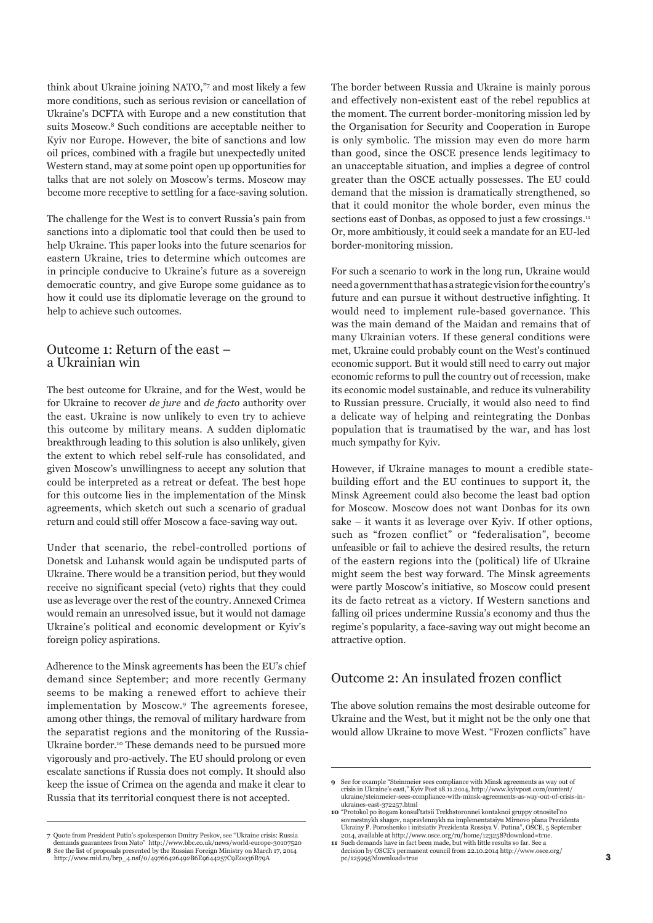think about Ukraine joining NATO,"7 and most likely a few more conditions, such as serious revision or cancellation of Ukraine's DCFTA with Europe and a new constitution that suits Moscow.8 Such conditions are acceptable neither to Kyiv nor Europe. However, the bite of sanctions and low oil prices, combined with a fragile but unexpectedly united Western stand, may at some point open up opportunities for talks that are not solely on Moscow's terms. Moscow may become more receptive to settling for a face-saving solution.

The challenge for the West is to convert Russia's pain from sanctions into a diplomatic tool that could then be used to help Ukraine. This paper looks into the future scenarios for eastern Ukraine, tries to determine which outcomes are in principle conducive to Ukraine's future as a sovereign democratic country, and give Europe some guidance as to how it could use its diplomatic leverage on the ground to help to achieve such outcomes.

## Outcome 1: Return of the east – a Ukrainian win

The best outcome for Ukraine, and for the West, would be for Ukraine to recover *de jure* and *de facto* authority over the east. Ukraine is now unlikely to even try to achieve this outcome by military means. A sudden diplomatic breakthrough leading to this solution is also unlikely, given the extent to which rebel self-rule has consolidated, and given Moscow's unwillingness to accept any solution that could be interpreted as a retreat or defeat. The best hope for this outcome lies in the implementation of the Minsk agreements, which sketch out such a scenario of gradual return and could still offer Moscow a face-saving way out.

Under that scenario, the rebel-controlled portions of Donetsk and Luhansk would again be undisputed parts of Ukraine. There would be a transition period, but they would receive no significant special (veto) rights that they could use as leverage over the rest of the country. Annexed Crimea would remain an unresolved issue, but it would not damage Ukraine's political and economic development or Kyiv's foreign policy aspirations.

Adherence to the Minsk agreements has been the EU's chief demand since September; and more recently Germany seems to be making a renewed effort to achieve their implementation by Moscow.9 The agreements foresee, among other things, the removal of military hardware from the separatist regions and the monitoring of the Russia-Ukraine border.10 These demands need to be pursued more vigorously and pro-actively. The EU should prolong or even escalate sanctions if Russia does not comply. It should also keep the issue of Crimea on the agenda and make it clear to Russia that its territorial conquest there is not accepted.

The border between Russia and Ukraine is mainly porous and effectively non-existent east of the rebel republics at the moment. The current border-monitoring mission led by the Organisation for Security and Cooperation in Europe is only symbolic. The mission may even do more harm than good, since the OSCE presence lends legitimacy to an unacceptable situation, and implies a degree of control greater than the OSCE actually possesses. The EU could demand that the mission is dramatically strengthened, so that it could monitor the whole border, even minus the sections east of Donbas, as opposed to just a few crossings.<sup>11</sup> Or, more ambitiously, it could seek a mandate for an EU-led border-monitoring mission.

For such a scenario to work in the long run, Ukraine would need a government that has a strategic vision for the country's future and can pursue it without destructive infighting. It would need to implement rule-based governance. This was the main demand of the Maidan and remains that of many Ukrainian voters. If these general conditions were met, Ukraine could probably count on the West's continued economic support. But it would still need to carry out major economic reforms to pull the country out of recession, make its economic model sustainable, and reduce its vulnerability to Russian pressure. Crucially, it would also need to find a delicate way of helping and reintegrating the Donbas population that is traumatised by the war, and has lost much sympathy for Kyiv.

However, if Ukraine manages to mount a credible statebuilding effort and the EU continues to support it, the Minsk Agreement could also become the least bad option for Moscow. Moscow does not want Donbas for its own sake – it wants it as leverage over Kyiv. If other options, such as "frozen conflict" or "federalisation", become unfeasible or fail to achieve the desired results, the return of the eastern regions into the (political) life of Ukraine might seem the best way forward. The Minsk agreements were partly Moscow's initiative, so Moscow could present its de facto retreat as a victory. If Western sanctions and falling oil prices undermine Russia's economy and thus the regime's popularity, a face-saving way out might become an attractive option.

#### Outcome 2: An insulated frozen conflict

The above solution remains the most desirable outcome for Ukraine and the West, but it might not be the only one that would allow Ukraine to move West. "Frozen conflicts" have

**<sup>7</sup>** Quote from President Putin's spokesperson Dmitry Peskov, see "Ukraine crisis: Russia demands guarantees from Nato" http://www.bbc.co.uk/news/world-europe-30107520

**<sup>8</sup>** See the list of proposals presented by the Russian Foreign Ministry on March 17, 2014 http://www.mid.ru/brp\_4.nsf/0/49766426492B6E9644257C9E0036B79A

**<sup>9</sup>** See for example "Steinmeier sees compliance with Minsk agreements as way out of crisis in Ukraine's east," Kyiv Post 18.11.2014, http://www.kyivpost.com/content/<br>ukraine/steinmeier-sees-compliance-with-minsk-agreements-as-way-out-of-crisis-inukraines-east-372257.html

**<sup>10</sup>** "Protokol po itogam konsul'tatsii Trekhstoronnei kontaknoi gruppy otnositel'no sovmestnykh shagov, napravlennykh na implementatsiyu Mirnovo plana Prezidenta<br>Ukrainy P. Poroshenko i initsiativ Prezidenta Rossiya V. Putina", OSCE, 5 September 2014, available at http://www.osce.org/ru/home/123258?download=true.

**<sup>11</sup>** Such demands have in fact been made, but with little results so far. See a decision by OSCE's permanent council from 22.10.2014 http://www.osce.org/ pc/125995?download=true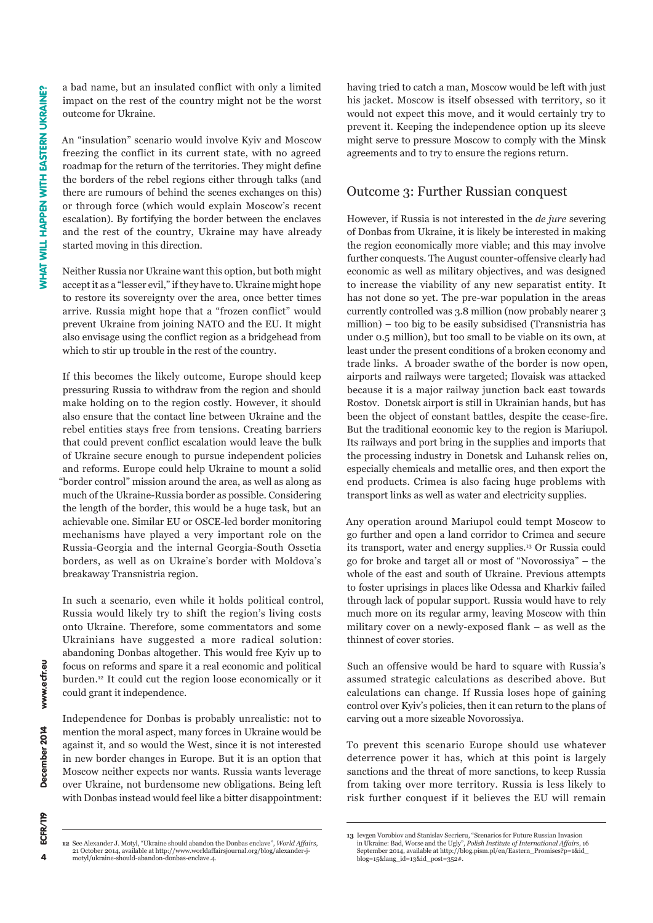a bad name, but an insulated conflict with only a limited impact on the rest of the country might not be the worst outcome for Ukraine.

An "insulation" scenario would involve Kyiv and Moscow freezing the conflict in its current state, with no agreed roadmap for the return of the territories. They might define the borders of the rebel regions either through talks (and there are rumours of behind the scenes exchanges on this) or through force (which would explain Moscow's recent escalation). By fortifying the border between the enclaves and the rest of the country, Ukraine may have already started moving in this direction.

Neither Russia nor Ukraine want this option, but both might accept it as a "lesser evil," if they have to. Ukraine might hope to restore its sovereignty over the area, once better times arrive. Russia might hope that a "frozen conflict" would prevent Ukraine from joining NATO and the EU. It might also envisage using the conflict region as a bridgehead from which to stir up trouble in the rest of the country.

If this becomes the likely outcome, Europe should keep pressuring Russia to withdraw from the region and should make holding on to the region costly. However, it should also ensure that the contact line between Ukraine and the rebel entities stays free from tensions. Creating barriers that could prevent conflict escalation would leave the bulk of Ukraine secure enough to pursue independent policies and reforms. Europe could help Ukraine to mount a solid "border control" mission around the area, as well as along as much of the Ukraine-Russia border as possible. Considering the length of the border, this would be a huge task, but an achievable one. Similar EU or OSCE-led border monitoring mechanisms have played a very important role on the Russia-Georgia and the internal Georgia-South Ossetia borders, as well as on Ukraine's border with Moldova's breakaway Transnistria region.

In such a scenario, even while it holds political control, Russia would likely try to shift the region's living costs onto Ukraine. Therefore, some commentators and some Ukrainians have suggested a more radical solution: abandoning Donbas altogether. This would free Kyiv up to focus on reforms and spare it a real economic and political burden.12 It could cut the region loose economically or it could grant it independence.

Independence for Donbas is probably unrealistic: not to mention the moral aspect, many forces in Ukraine would be against it, and so would the West, since it is not interested in new border changes in Europe. But it is an option that Moscow neither expects nor wants. Russia wants leverage over Ukraine, not burdensome new obligations. Being left with Donbas instead would feel like a bitter disappointment:

12 See Alexander J. Motyl, "Ukraine should abandon the Donbas enclave", World Affairs, 21 October 2014, available at http://www.worldaffairsjournal.org/blog/alexander-j-<br>motyl/ukraine-should-abandon-donbas-enclave.4.

having tried to catch a man, Moscow would be left with just his jacket. Moscow is itself obsessed with territory, so it would not expect this move, and it would certainly try to prevent it. Keeping the independence option up its sleeve might serve to pressure Moscow to comply with the Minsk agreements and to try to ensure the regions return.

## Outcome 3: Further Russian conquest

However, if Russia is not interested in the *de jure* severing of Donbas from Ukraine, it is likely be interested in making the region economically more viable; and this may involve further conquests. The August counter-offensive clearly had economic as well as military objectives, and was designed to increase the viability of any new separatist entity. It has not done so yet. The pre-war population in the areas currently controlled was 3.8 million (now probably nearer 3 million) – too big to be easily subsidised (Transnistria has under 0.5 million), but too small to be viable on its own, at least under the present conditions of a broken economy and trade links. A broader swathe of the border is now open, airports and railways were targeted; Ilovaisk was attacked because it is a major railway junction back east towards Rostov. Donetsk airport is still in Ukrainian hands, but has been the object of constant battles, despite the cease-fire. But the traditional economic key to the region is Mariupol. Its railways and port bring in the supplies and imports that the processing industry in Donetsk and Luhansk relies on, especially chemicals and metallic ores, and then export the end products. Crimea is also facing huge problems with transport links as well as water and electricity supplies.

Any operation around Mariupol could tempt Moscow to go further and open a land corridor to Crimea and secure its transport, water and energy supplies.13 Or Russia could go for broke and target all or most of "Novorossiya" – the whole of the east and south of Ukraine. Previous attempts to foster uprisings in places like Odessa and Kharkiv failed through lack of popular support. Russia would have to rely much more on its regular army, leaving Moscow with thin military cover on a newly-exposed flank – as well as the thinnest of cover stories.

Such an offensive would be hard to square with Russia's assumed strategic calculations as described above. But calculations can change. If Russia loses hope of gaining control over Kyiv's policies, then it can return to the plans of carving out a more sizeable Novorossiya.

To prevent this scenario Europe should use whatever deterrence power it has, which at this point is largely sanctions and the threat of more sanctions, to keep Russia from taking over more territory. Russia is less likely to risk further conquest if it believes the EU will remain

www.ecfr.eu

<sup>13</sup> Ievgen Vorobiov and Stanislav Secrieru, "Scenarios for Future Russian Invasion in Ukraine: Bad, Worse and the Ugly", *Polish Institute of International Affairs*, 16<br>September 2014, available at http://blog.pism.pl/en/Eastern\_Promises?p=1&id\_<br>blog=15&lang\_id=13&id\_post=352#.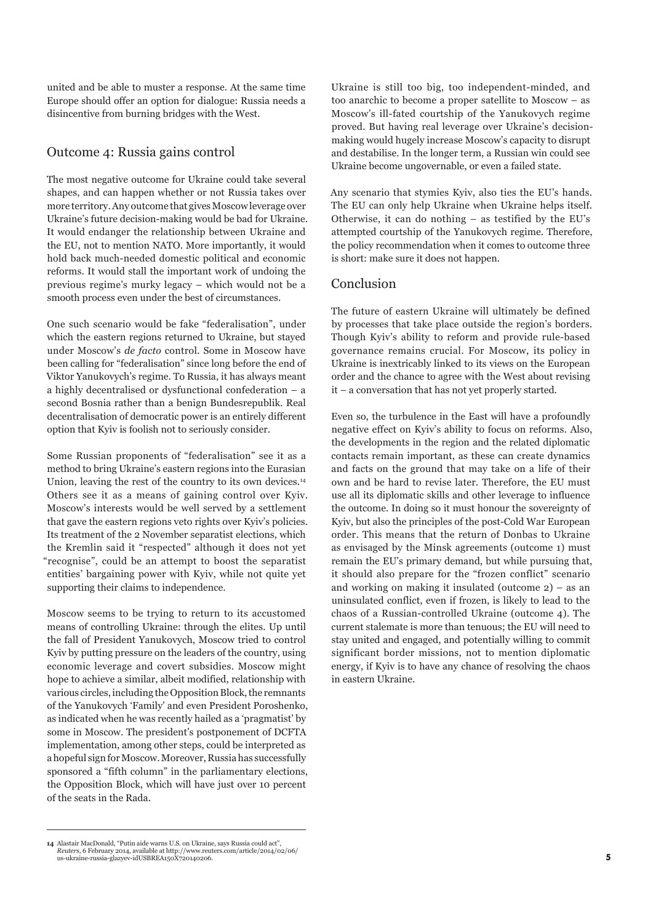united and be able to muster a response. At the same time Europe should offer an option for dialogue: Russia needs a disincentive from burning bridges with the West.

## Outcome 4: Russia gains control

The most negative outcome for Ukraine could take several shapes, and can happen whether or not Russia takes over more territory. Any outcome that gives Moscow leverage over Ukraine's future decision-making would be bad for Ukraine. It would endanger the relationship between Ukraine and the EU, not to mention NATO. More importantly, it would hold back much-needed domestic political and economic reforms. It would stall the important work of undoing the previous regime's murky legacy – which would not be a smooth process even under the best of circumstances.

One such scenario would be fake "federalisation", under which the eastern regions returned to Ukraine, but stayed under Moscow's *de facto* control. Some in Moscow have been calling for "federalisation" since long before the end of Viktor Yanukovych's regime. To Russia, it has always meant a highly decentralised or dysfunctional confederation – a second Bosnia rather than a benign Bundesrepublik. Real decentralisation of democratic power is an entirely different option that Kyiv is foolish not to seriously consider.

Some Russian proponents of "federalisation" see it as a method to bring Ukraine's eastern regions into the Eurasian Union, leaving the rest of the country to its own devices.<sup>14</sup> Others see it as a means of gaining control over Kyiv. Moscow's interests would be well served by a settlement that gave the eastern regions veto rights over Kyiv's policies. Its treatment of the 2 November separatist elections, which the Kremlin said it "respected" although it does not yet "recognise", could be an attempt to boost the separatist entities' bargaining power with Kyiv, while not quite yet supporting their claims to independence.

Moscow seems to be trying to return to its accustomed means of controlling Ukraine: through the elites. Up until the fall of President Yanukovych, Moscow tried to control Kyiv by putting pressure on the leaders of the country, using economic leverage and covert subsidies. Moscow might hope to achieve a similar, albeit modified, relationship with various circles, including the Opposition Block, the remnants of the Yanukovych 'Family' and even President Poroshenko, as indicated when he was recently hailed as a 'pragmatist' by some in Moscow. The president's postponement of DCFTA implementation, among other steps, could be interpreted as a hopeful sign for Moscow. Moreover, Russia has successfully sponsored a "fifth column" in the parliamentary elections, the Opposition Block, which will have just over 10 percent of the seats in the Rada.

14 Alastair MacDonald, "Putin aide warns U.S. on Ukraine, says Russia could act" *Reuters,* 6 February 2014, available at http://www.reuters.com/article/2014/02/06/<br>us-ukraine-russia-glazyev-idUSBREA150X720140206. Ukraine is still too big, too independent-minded, and too anarchic to become a proper satellite to Moscow – as Moscow's ill-fated courtship of the Yanukovych regime proved. But having real leverage over Ukraine's decisionmaking would hugely increase Moscow's capacity to disrupt and destabilise. In the longer term, a Russian win could see Ukraine become ungovernable, or even a failed state.

Any scenario that stymies Kyiv, also ties the EU's hands. The EU can only help Ukraine when Ukraine helps itself. Otherwise, it can do nothing – as testified by the EU's attempted courtship of the Yanukovych regime. Therefore, the policy recommendation when it comes to outcome three is short: make sure it does not happen.

## Conclusion

The future of eastern Ukraine will ultimately be defined by processes that take place outside the region's borders. Though Kyiv's ability to reform and provide rule-based governance remains crucial. For Moscow, its policy in Ukraine is inextricably linked to its views on the European order and the chance to agree with the West about revising it – a conversation that has not yet properly started.

Even so, the turbulence in the East will have a profoundly negative effect on Kyiv's ability to focus on reforms. Also, the developments in the region and the related diplomatic contacts remain important, as these can create dynamics and facts on the ground that may take on a life of their own and be hard to revise later. Therefore, the EU must use all its diplomatic skills and other leverage to influence the outcome. In doing so it must honour the sovereignty of Kyiv, but also the principles of the post-Cold War European order. This means that the return of Donbas to Ukraine as envisaged by the Minsk agreements (outcome 1) must remain the EU's primary demand, but while pursuing that, it should also prepare for the "frozen conflict" scenario and working on making it insulated (outcome 2) – as an uninsulated conflict, even if frozen, is likely to lead to the chaos of a Russian-controlled Ukraine (outcome 4). The current stalemate is more than tenuous; the EU will need to stay united and engaged, and potentially willing to commit significant border missions, not to mention diplomatic energy, if Kyiv is to have any chance of resolving the chaos in eastern Ukraine.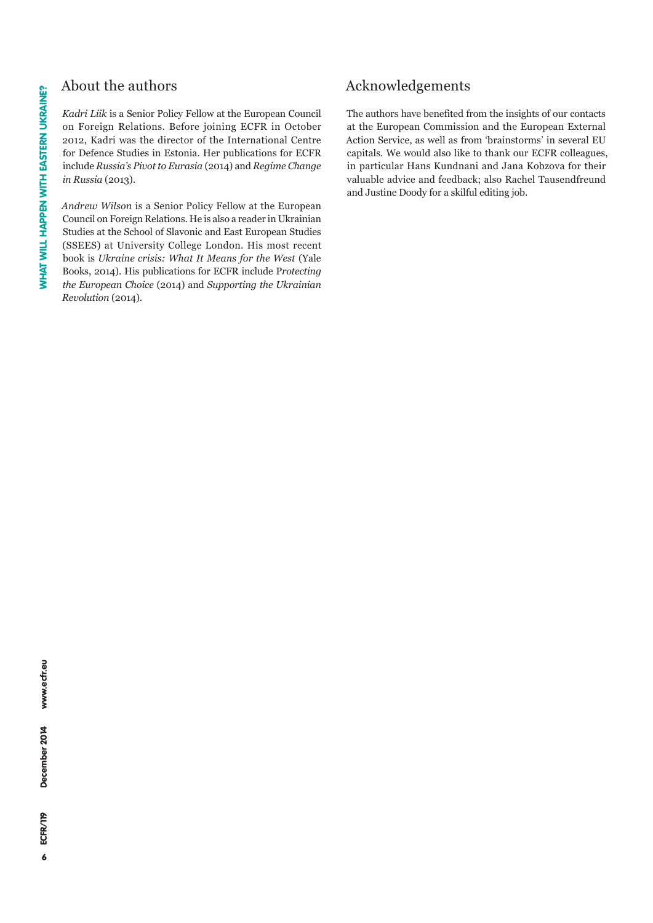## About the authors

Kadri Liik is a Senior Policy Fellow at the European Council on Foreign Relations. Before joining ECFR in October 2012, Kadri was the director of the International Centre for Defence Studies in Estonia. Her publications for ECFR include *Russia's Pivot to Eurasia* (2014) and *Regime Change in Russia* (2013).

*Andrew Wilson* is a Senior Policy Fellow at the European Council on Foreign Relations. He is also a reader in Ukrainian Studies at the School of Slavonic and East European Studies (SSEES) at University College London. His most recent book is *Ukraine crisis: What It Means for the West* (Yale Books, 2014). His publications for ECFR include Protecting *the European Choice* (2014) and *Supporting the Ukrainian Revolution* (2014).

# Acknowledgements

The authors have benefited from the insights of our contacts at the European Commission and the European External Action Service, as well as from 'brainstorms' in several EU capitals. We would also like to thank our ECFR colleagues, in particular Hans Kundnani and Jana Kobzova for their valuable advice and feedback; also Rachel Tausendfreund and Justine Doody for a skilful editing job.